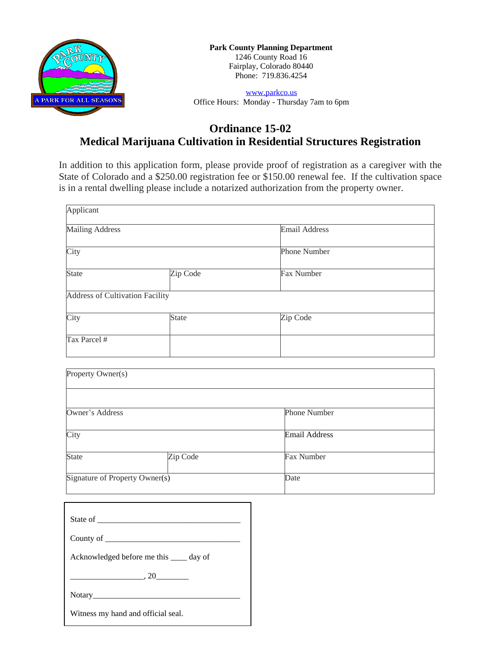

[www.parkco.us](http://www.parkco.us) Office Hours: Monday - Thursday 7am to 6pm

## **Ordinance 15-02 Medical Marijuana Cultivation in Residential Structures Registration**

In addition to this application form, please provide proof of registration as a caregiver with the State of Colorado and a \$250.00 registration fee or \$150.00 renewal fee. If the cultivation space is in a rental dwelling please include a notarized authorization from the property owner.

| Applicant                       |          |               |  |
|---------------------------------|----------|---------------|--|
| Mailing Address                 |          | Email Address |  |
| City                            |          | Phone Number  |  |
| State                           | Zip Code | Fax Number    |  |
| Address of Cultivation Facility |          |               |  |
| City                            | State    | Zip Code      |  |
| Tax Parcel #                    |          |               |  |

| Property Owner(s)              |          |                      |
|--------------------------------|----------|----------------------|
| Owner's Address                |          | <b>Phone Number</b>  |
| City                           |          | <b>Email Address</b> |
| <b>State</b>                   | Zip Code | Fax Number           |
| Signature of Property Owner(s) |          | Date                 |

| Acknowledged before me this _____ day of                                                                                                                                                                                       |  |  |  |
|--------------------------------------------------------------------------------------------------------------------------------------------------------------------------------------------------------------------------------|--|--|--|
| $\frac{1}{20}$ , 20                                                                                                                                                                                                            |  |  |  |
| Notary and the second second second second second second second second second second second second second second second second second second second second second second second second second second second second second seco |  |  |  |
| Witness my hand and official seal.                                                                                                                                                                                             |  |  |  |